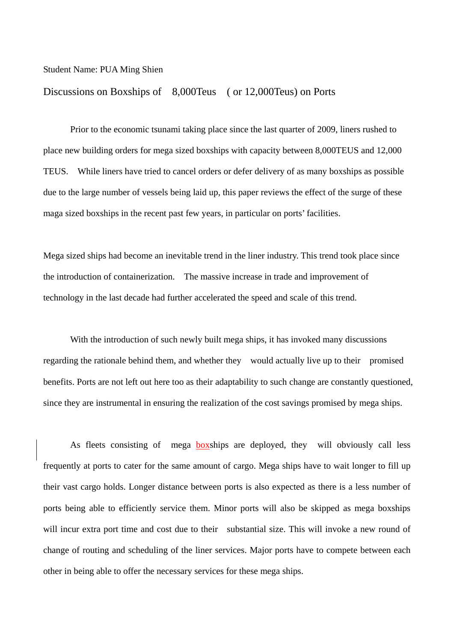## Student Name: PUA Ming Shien

## Discussions on Boxships of 8,000Teus ( or 12,000Teus) on Ports

 Prior to the economic tsunami taking place since the last quarter of 2009, liners rushed to place new building orders for mega sized boxships with capacity between 8,000TEUS and 12,000 TEUS. While liners have tried to cancel orders or defer delivery of as many boxships as possible due to the large number of vessels being laid up, this paper reviews the effect of the surge of these maga sized boxships in the recent past few years, in particular on ports' facilities.

Mega sized ships had become an inevitable trend in the liner industry. This trend took place since the introduction of containerization. The massive increase in trade and improvement of technology in the last decade had further accelerated the speed and scale of this trend.

With the introduction of such newly built mega ships, it has invoked many discussions regarding the rationale behind them, and whether they would actually live up to their promised benefits. Ports are not left out here too as their adaptability to such change are constantly questioned, since they are instrumental in ensuring the realization of the cost savings promised by mega ships.

As fleets consisting of mega boxships are deployed, they will obviously call less frequently at ports to cater for the same amount of cargo. Mega ships have to wait longer to fill up their vast cargo holds. Longer distance between ports is also expected as there is a less number of ports being able to efficiently service them. Minor ports will also be skipped as mega boxships will incur extra port time and cost due to their substantial size. This will invoke a new round of change of routing and scheduling of the liner services. Major ports have to compete between each other in being able to offer the necessary services for these mega ships.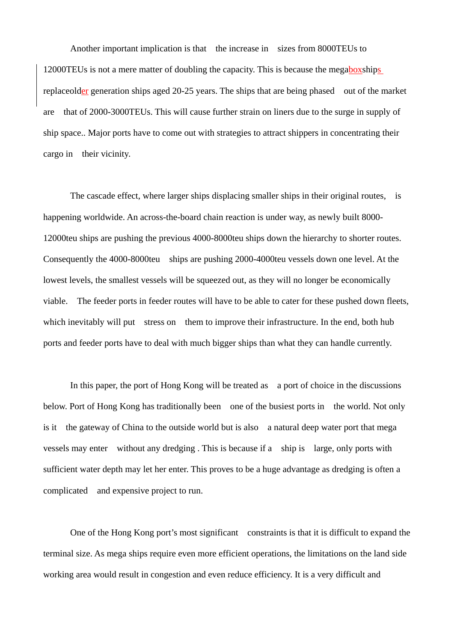Another important implication is that the increase in sizes from 8000TEUs to 12000TEUs is not a mere matter of doubling the capacity. This is because the megaboxships replaceolder generation ships aged 20-25 years. The ships that are being phased out of the market are that of 2000-3000TEUs. This will cause further strain on liners due to the surge in supply of ship space.. Major ports have to come out with strategies to attract shippers in concentrating their cargo in their vicinity.

 The cascade effect, where larger ships displacing smaller ships in their original routes, is happening worldwide. An across-the-board chain reaction is under way, as newly built 8000- 12000teu ships are pushing the previous 4000-8000teu ships down the hierarchy to shorter routes. Consequently the 4000-8000teu ships are pushing 2000-4000teu vessels down one level. At the lowest levels, the smallest vessels will be squeezed out, as they will no longer be economically viable. The feeder ports in feeder routes will have to be able to cater for these pushed down fleets, which inevitably will put stress on them to improve their infrastructure. In the end, both hub ports and feeder ports have to deal with much bigger ships than what they can handle currently.

 In this paper, the port of Hong Kong will be treated as a port of choice in the discussions below. Port of Hong Kong has traditionally been one of the busiest ports in the world. Not only is it the gateway of China to the outside world but is also a natural deep water port that mega vessels may enter without any dredging . This is because if a ship is large, only ports with sufficient water depth may let her enter. This proves to be a huge advantage as dredging is often a complicated and expensive project to run.

 One of the Hong Kong port's most significant constraints is that it is difficult to expand the terminal size. As mega ships require even more efficient operations, the limitations on the land side working area would result in congestion and even reduce efficiency. It is a very difficult and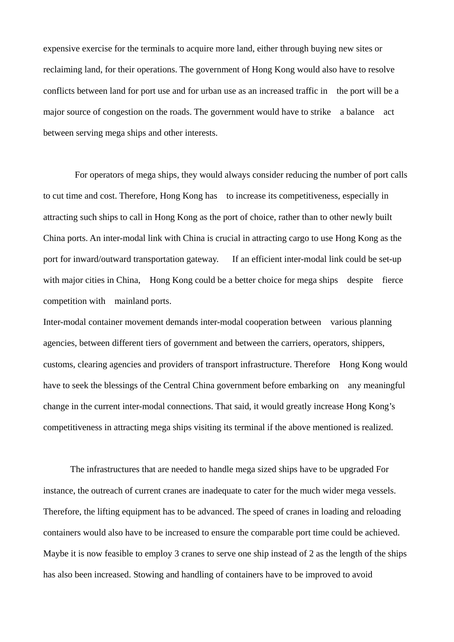expensive exercise for the terminals to acquire more land, either through buying new sites or reclaiming land, for their operations. The government of Hong Kong would also have to resolve conflicts between land for port use and for urban use as an increased traffic in the port will be a major source of congestion on the roads. The government would have to strike a balance act between serving mega ships and other interests.

For operators of mega ships, they would always consider reducing the number of port calls to cut time and cost. Therefore, Hong Kong has to increase its competitiveness, especially in attracting such ships to call in Hong Kong as the port of choice, rather than to other newly built China ports. An inter-modal link with China is crucial in attracting cargo to use Hong Kong as the port for inward/outward transportation gateway. If an efficient inter-modal link could be set-up with major cities in China. Hong Kong could be a better choice for mega ships despite fierce competition with mainland ports.

Inter-modal container movement demands inter-modal cooperation between various planning agencies, between different tiers of government and between the carriers, operators, shippers, customs, clearing agencies and providers of transport infrastructure. Therefore Hong Kong would have to seek the blessings of the Central China government before embarking on any meaningful change in the current inter-modal connections. That said, it would greatly increase Hong Kong's competitiveness in attracting mega ships visiting its terminal if the above mentioned is realized.

 The infrastructures that are needed to handle mega sized ships have to be upgraded For instance, the outreach of current cranes are inadequate to cater for the much wider mega vessels. Therefore, the lifting equipment has to be advanced. The speed of cranes in loading and reloading containers would also have to be increased to ensure the comparable port time could be achieved. Maybe it is now feasible to employ 3 cranes to serve one ship instead of 2 as the length of the ships has also been increased. Stowing and handling of containers have to be improved to avoid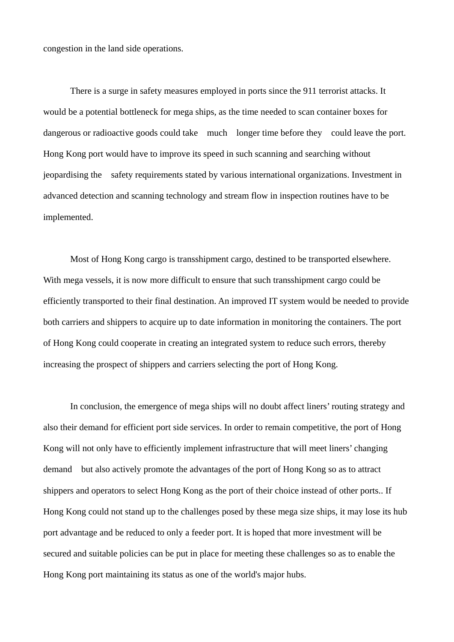congestion in the land side operations.

 There is a surge in safety measures employed in ports since the 911 terrorist attacks. It would be a potential bottleneck for mega ships, as the time needed to scan container boxes for dangerous or radioactive goods could take much longer time before they could leave the port. Hong Kong port would have to improve its speed in such scanning and searching without jeopardising the safety requirements stated by various international organizations. Investment in advanced detection and scanning technology and stream flow in inspection routines have to be implemented.

 Most of Hong Kong cargo is transshipment cargo, destined to be transported elsewhere. With mega vessels, it is now more difficult to ensure that such transshipment cargo could be efficiently transported to their final destination. An improved IT system would be needed to provide both carriers and shippers to acquire up to date information in monitoring the containers. The port of Hong Kong could cooperate in creating an integrated system to reduce such errors, thereby increasing the prospect of shippers and carriers selecting the port of Hong Kong.

 In conclusion, the emergence of mega ships will no doubt affect liners' routing strategy and also their demand for efficient port side services. In order to remain competitive, the port of Hong Kong will not only have to efficiently implement infrastructure that will meet liners' changing demand but also actively promote the advantages of the port of Hong Kong so as to attract shippers and operators to select Hong Kong as the port of their choice instead of other ports.. If Hong Kong could not stand up to the challenges posed by these mega size ships, it may lose its hub port advantage and be reduced to only a feeder port. It is hoped that more investment will be secured and suitable policies can be put in place for meeting these challenges so as to enable the Hong Kong port maintaining its status as one of the world's major hubs.